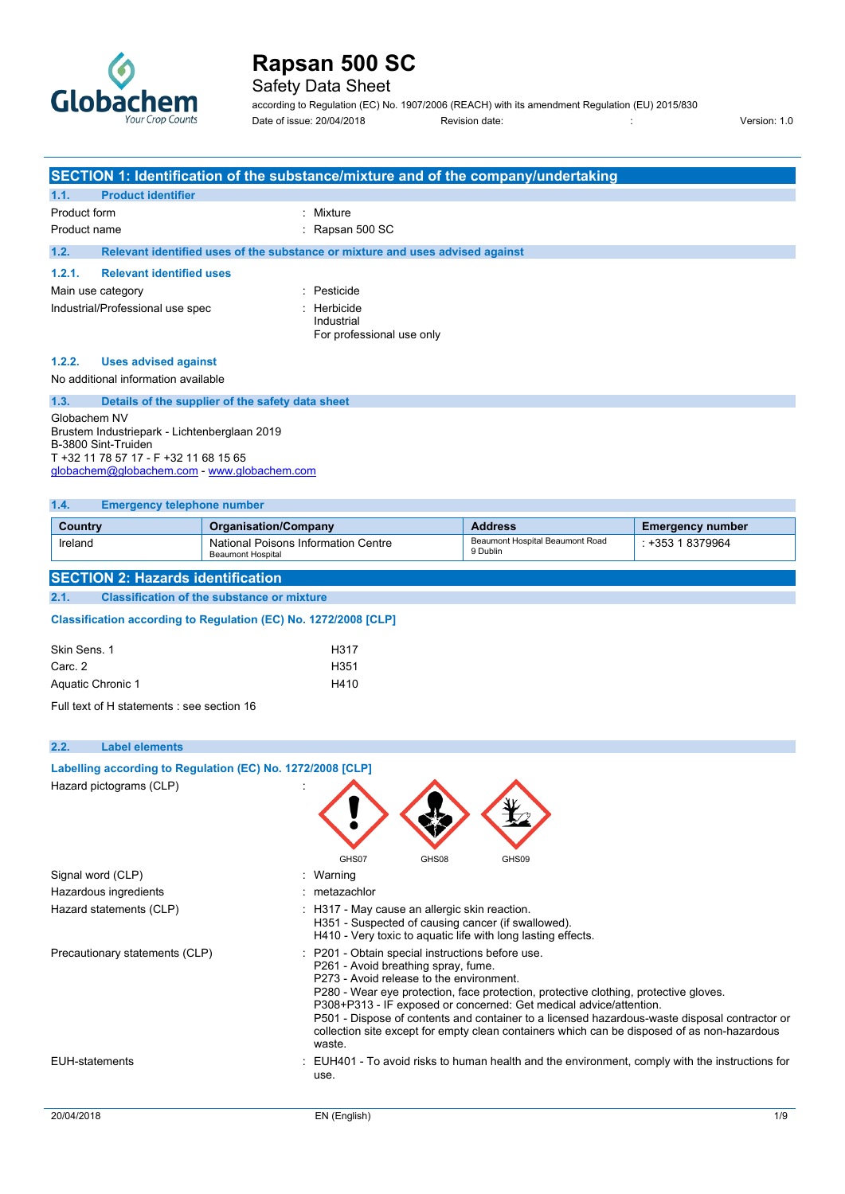

## Safety Data Sheet

according to Regulation (EC) No. 1907/2006 (REACH) with its amendment Regulation (EU) 2015/830 Date of issue: 20/04/2018 Revision date:  $\frac{1}{0}$  Revision date:  $\frac{1}{0}$  Version: 1.0

|                                                                                                                                                                             |                                                                 | SECTION 1: Identification of the substance/mixture and of the company/undertaking                                                                                   |                                                                                                                                                                                                                                                                                                                                                            |                         |
|-----------------------------------------------------------------------------------------------------------------------------------------------------------------------------|-----------------------------------------------------------------|---------------------------------------------------------------------------------------------------------------------------------------------------------------------|------------------------------------------------------------------------------------------------------------------------------------------------------------------------------------------------------------------------------------------------------------------------------------------------------------------------------------------------------------|-------------------------|
| 1.1.<br><b>Product identifier</b>                                                                                                                                           |                                                                 |                                                                                                                                                                     |                                                                                                                                                                                                                                                                                                                                                            |                         |
| Product form                                                                                                                                                                |                                                                 | Mixture                                                                                                                                                             |                                                                                                                                                                                                                                                                                                                                                            |                         |
| Product name                                                                                                                                                                |                                                                 | Rapsan 500 SC                                                                                                                                                       |                                                                                                                                                                                                                                                                                                                                                            |                         |
| 1.2.                                                                                                                                                                        |                                                                 | Relevant identified uses of the substance or mixture and uses advised against                                                                                       |                                                                                                                                                                                                                                                                                                                                                            |                         |
| 1.2.1.<br><b>Relevant identified uses</b>                                                                                                                                   |                                                                 |                                                                                                                                                                     |                                                                                                                                                                                                                                                                                                                                                            |                         |
| Main use category                                                                                                                                                           |                                                                 | Pesticide                                                                                                                                                           |                                                                                                                                                                                                                                                                                                                                                            |                         |
| Industrial/Professional use spec                                                                                                                                            |                                                                 | Herbicide<br>Industrial<br>For professional use only                                                                                                                |                                                                                                                                                                                                                                                                                                                                                            |                         |
| 1.2.2.<br><b>Uses advised against</b>                                                                                                                                       |                                                                 |                                                                                                                                                                     |                                                                                                                                                                                                                                                                                                                                                            |                         |
| No additional information available                                                                                                                                         |                                                                 |                                                                                                                                                                     |                                                                                                                                                                                                                                                                                                                                                            |                         |
| 1.3.                                                                                                                                                                        | Details of the supplier of the safety data sheet                |                                                                                                                                                                     |                                                                                                                                                                                                                                                                                                                                                            |                         |
| Globachem NV<br>Brustem Industriepark - Lichtenberglaan 2019<br>B-3800 Sint-Truiden<br>T +32 11 78 57 17 - F +32 11 68 15 65<br>globachem@globachem.com - www.globachem.com |                                                                 |                                                                                                                                                                     |                                                                                                                                                                                                                                                                                                                                                            |                         |
| 1.4.<br><b>Emergency telephone number</b>                                                                                                                                   |                                                                 |                                                                                                                                                                     |                                                                                                                                                                                                                                                                                                                                                            |                         |
| Country                                                                                                                                                                     | <b>Organisation/Company</b>                                     |                                                                                                                                                                     | <b>Address</b>                                                                                                                                                                                                                                                                                                                                             | <b>Emergency number</b> |
| Ireland                                                                                                                                                                     | National Poisons Information Centre<br><b>Beaumont Hospital</b> |                                                                                                                                                                     | Beaumont Hospital Beaumont Road<br>9 Dublin                                                                                                                                                                                                                                                                                                                | : +353 1 8379964        |
| <b>SECTION 2: Hazards identification</b>                                                                                                                                    |                                                                 |                                                                                                                                                                     |                                                                                                                                                                                                                                                                                                                                                            |                         |
| 2.1.                                                                                                                                                                        | <b>Classification of the substance or mixture</b>               |                                                                                                                                                                     |                                                                                                                                                                                                                                                                                                                                                            |                         |
| Classification according to Regulation (EC) No. 1272/2008 [CLP]                                                                                                             |                                                                 |                                                                                                                                                                     |                                                                                                                                                                                                                                                                                                                                                            |                         |
| Skin Sens. 1                                                                                                                                                                |                                                                 | H317                                                                                                                                                                |                                                                                                                                                                                                                                                                                                                                                            |                         |
| Carc. 2                                                                                                                                                                     |                                                                 | H351                                                                                                                                                                |                                                                                                                                                                                                                                                                                                                                                            |                         |
| Aquatic Chronic 1                                                                                                                                                           |                                                                 | H410                                                                                                                                                                |                                                                                                                                                                                                                                                                                                                                                            |                         |
| Full text of H statements : see section 16                                                                                                                                  |                                                                 |                                                                                                                                                                     |                                                                                                                                                                                                                                                                                                                                                            |                         |
|                                                                                                                                                                             |                                                                 |                                                                                                                                                                     |                                                                                                                                                                                                                                                                                                                                                            |                         |
| 2.2.<br><b>Label elements</b>                                                                                                                                               |                                                                 |                                                                                                                                                                     |                                                                                                                                                                                                                                                                                                                                                            |                         |
| Labelling according to Regulation (EC) No. 1272/2008 [CLP]                                                                                                                  |                                                                 |                                                                                                                                                                     |                                                                                                                                                                                                                                                                                                                                                            |                         |
| Hazard pictograms (CLP)                                                                                                                                                     |                                                                 |                                                                                                                                                                     |                                                                                                                                                                                                                                                                                                                                                            |                         |
|                                                                                                                                                                             |                                                                 | GHS07<br>GHS08                                                                                                                                                      | GHS09                                                                                                                                                                                                                                                                                                                                                      |                         |
| Signal word (CLP)                                                                                                                                                           |                                                                 | : Warning                                                                                                                                                           |                                                                                                                                                                                                                                                                                                                                                            |                         |
| Hazardous ingredients                                                                                                                                                       |                                                                 | metazachlor                                                                                                                                                         |                                                                                                                                                                                                                                                                                                                                                            |                         |
| Hazard statements (CLP)                                                                                                                                                     |                                                                 | : H317 - May cause an allergic skin reaction.<br>H351 - Suspected of causing cancer (if swallowed).<br>H410 - Very toxic to aquatic life with long lasting effects. |                                                                                                                                                                                                                                                                                                                                                            |                         |
| Precautionary statements (CLP)                                                                                                                                              |                                                                 | P201 - Obtain special instructions before use.<br>P261 - Avoid breathing spray, fume.<br>P273 - Avoid release to the environment.<br>waste.                         | P280 - Wear eye protection, face protection, protective clothing, protective gloves.<br>P308+P313 - IF exposed or concerned: Get medical advice/attention.<br>P501 - Dispose of contents and container to a licensed hazardous-waste disposal contractor or<br>collection site except for empty clean containers which can be disposed of as non-hazardous |                         |
| <b>EUH-statements</b>                                                                                                                                                       |                                                                 | use.                                                                                                                                                                | : EUH401 - To avoid risks to human health and the environment, comply with the instructions for                                                                                                                                                                                                                                                            |                         |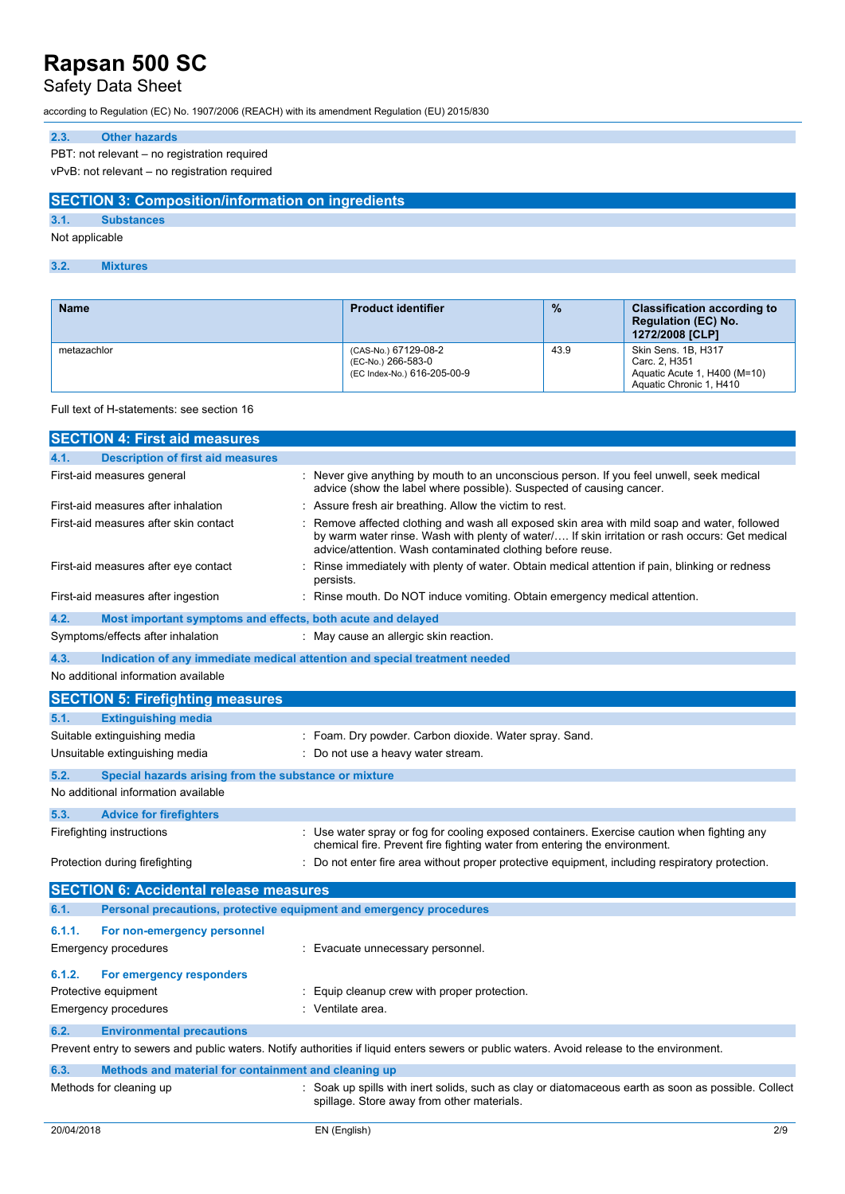## Safety Data Sheet

according to Regulation (EC) No. 1907/2006 (REACH) with its amendment Regulation (EU) 2015/830

### **2.3. Other hazards**

PBT: not relevant – no registration required

vPvB: not relevant – no registration required

### **SECTION 3: Composition/information on ingredients**

**3.1. Substances**

Not applicable

### **3.2. Mixtures**

| <b>Name</b> | <b>Product identifier</b>                                                 | $\frac{0}{2}$ | <b>Classification according to</b><br><b>Regulation (EC) No.</b><br>1272/2008 [CLP]             |
|-------------|---------------------------------------------------------------------------|---------------|-------------------------------------------------------------------------------------------------|
| metazachlor | (CAS-No.) 67129-08-2<br>(EC-No.) 266-583-0<br>(EC Index-No.) 616-205-00-9 | 43.9          | Skin Sens. 1B, H317<br>Carc. 2. H351<br>Aquatic Acute 1, H400 (M=10)<br>Aquatic Chronic 1, H410 |

#### Full text of H-statements: see section 16

| <b>SECTION 4: First aid measures</b>                                        |                                                                                                                                                                                                                                                            |
|-----------------------------------------------------------------------------|------------------------------------------------------------------------------------------------------------------------------------------------------------------------------------------------------------------------------------------------------------|
| <b>Description of first aid measures</b><br>4.1.                            |                                                                                                                                                                                                                                                            |
| First-aid measures general                                                  | Never give anything by mouth to an unconscious person. If you feel unwell, seek medical<br>advice (show the label where possible). Suspected of causing cancer.                                                                                            |
| First-aid measures after inhalation                                         | Assure fresh air breathing. Allow the victim to rest.                                                                                                                                                                                                      |
| First-aid measures after skin contact                                       | Remove affected clothing and wash all exposed skin area with mild soap and water, followed<br>by warm water rinse. Wash with plenty of water/ If skin irritation or rash occurs: Get medical<br>advice/attention. Wash contaminated clothing before reuse. |
| First-aid measures after eye contact                                        | Rinse immediately with plenty of water. Obtain medical attention if pain, blinking or redness<br>persists.                                                                                                                                                 |
| First-aid measures after ingestion                                          | Rinse mouth. Do NOT induce vomiting. Obtain emergency medical attention.                                                                                                                                                                                   |
| 4.2.<br>Most important symptoms and effects, both acute and delayed         |                                                                                                                                                                                                                                                            |
| Symptoms/effects after inhalation                                           | : May cause an allergic skin reaction.                                                                                                                                                                                                                     |
| 4.3.                                                                        | Indication of any immediate medical attention and special treatment needed                                                                                                                                                                                 |
| No additional information available                                         |                                                                                                                                                                                                                                                            |
| <b>SECTION 5: Firefighting measures</b>                                     |                                                                                                                                                                                                                                                            |
| 5.1.<br><b>Extinguishing media</b>                                          |                                                                                                                                                                                                                                                            |
| Suitable extinguishing media                                                | : Foam. Dry powder. Carbon dioxide. Water spray. Sand.                                                                                                                                                                                                     |
| Unsuitable extinguishing media                                              | Do not use a heavy water stream.                                                                                                                                                                                                                           |
| 5.2.<br>Special hazards arising from the substance or mixture               |                                                                                                                                                                                                                                                            |
| No additional information available                                         |                                                                                                                                                                                                                                                            |
| 5.3.<br><b>Advice for firefighters</b>                                      |                                                                                                                                                                                                                                                            |
| Firefighting instructions                                                   | Use water spray or fog for cooling exposed containers. Exercise caution when fighting any<br>chemical fire. Prevent fire fighting water from entering the environment.                                                                                     |
| Protection during firefighting                                              | Do not enter fire area without proper protective equipment, including respiratory protection.                                                                                                                                                              |
| <b>SECTION 6: Accidental release measures</b>                               |                                                                                                                                                                                                                                                            |
| Personal precautions, protective equipment and emergency procedures<br>6.1. |                                                                                                                                                                                                                                                            |
| 6.1.1.<br>For non-emergency personnel                                       |                                                                                                                                                                                                                                                            |
| Emergency procedures                                                        | : Evacuate unnecessary personnel.                                                                                                                                                                                                                          |
| 6.1.2.<br>For emergency responders                                          |                                                                                                                                                                                                                                                            |
| Protective equipment                                                        | Equip cleanup crew with proper protection.                                                                                                                                                                                                                 |
| Emergency procedures                                                        | Ventilate area.                                                                                                                                                                                                                                            |
| 6.2.<br><b>Environmental precautions</b>                                    |                                                                                                                                                                                                                                                            |
|                                                                             | Prevent entry to sewers and public waters. Notify authorities if liquid enters sewers or public waters. Avoid release to the environment.                                                                                                                  |
| Methods and material for containment and cleaning up<br>6.3.                |                                                                                                                                                                                                                                                            |
| Methods for cleaning up                                                     | Soak up spills with inert solids, such as clay or diatomaceous earth as soon as possible. Collect<br>spillage. Store away from other materials.                                                                                                            |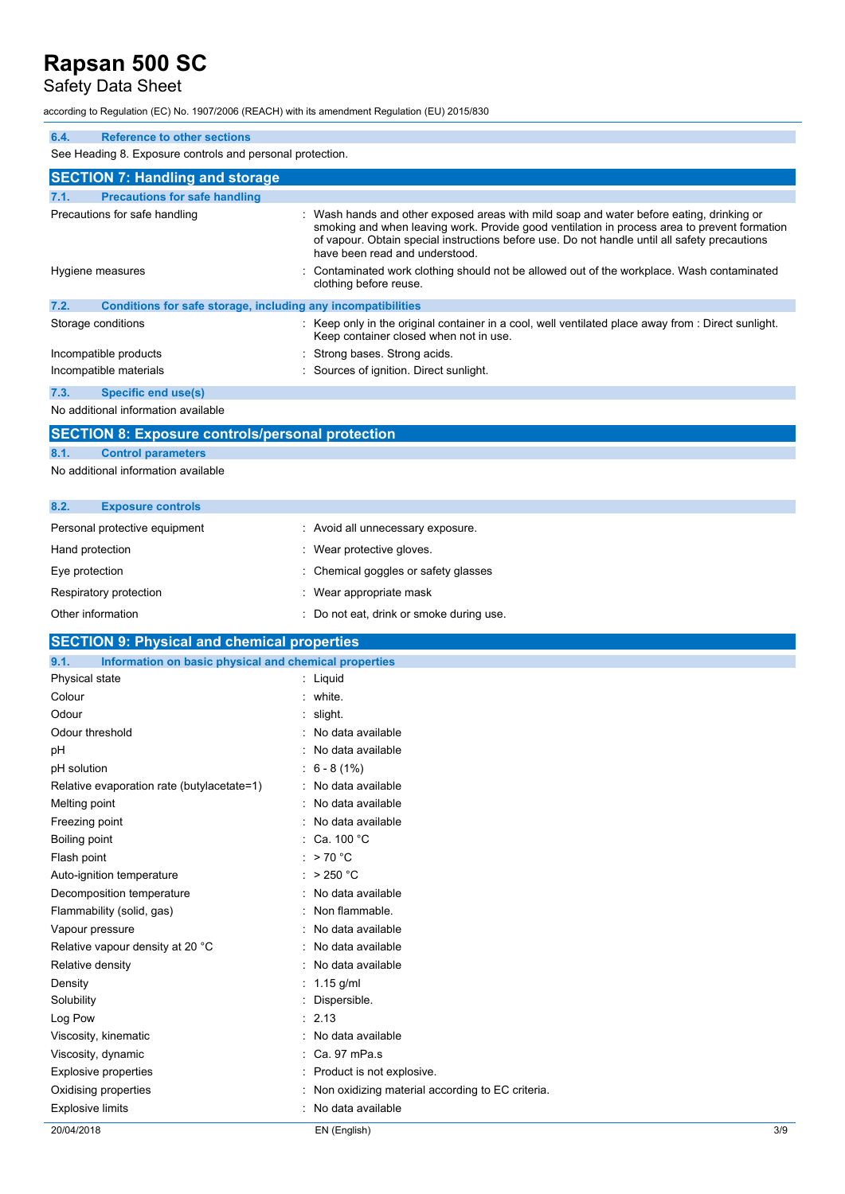### Safety Data Sheet

according to Regulation (EC) No. 1907/2006 (REACH) with its amendment Regulation (EU) 2015/830

### **6.4. Reference to other sections** See Heading 8. Exposure controls and personal protection. **SECTION 7: Handling and storage 7.1. Precautions for safe handling** Precautions for safe handling : Wash hands and other exposed areas with mild soap and water before eating, drinking or smoking and when leaving work. Provide good ventilation in process area to prevent formation of vapour. Obtain special instructions before use. Do not handle until all safety precautions have been read and understood. Hygiene measures **interest and the Contaminated work clothing should not be allowed out of the workplace. Wash contaminated** clothing before reuse. **7.2. Conditions for safe storage, including any incompatibilities** Storage conditions **in the original container in a cool, well ventilated place away from : Direct sunlight.** Keep container closed when not in use. Incompatible products : Strong bases. Strong acids. Incompatible materials : Sources of ignition. Direct sunlight. **7.3. Specific end use(s)** No additional information available

## **SECTION 8: Exposure controls/personal protection**

## **8.1. Control parameters**

No additional information available

| 8.2.              | <b>Exposure controls</b>      |                                          |
|-------------------|-------------------------------|------------------------------------------|
|                   | Personal protective equipment | : Avoid all unnecessary exposure.        |
| Hand protection   |                               | : Wear protective gloves.                |
| Eye protection    |                               | : Chemical goggles or safety glasses     |
|                   | Respiratory protection        | Wear appropriate mask                    |
| Other information |                               | : Do not eat, drink or smoke during use. |

### **SECTION 9: Physical and chemical properties**

| 9.1.<br>Information on basic physical and chemical properties |                                                  |  |
|---------------------------------------------------------------|--------------------------------------------------|--|
| Physical state                                                | : Liquid                                         |  |
| Colour                                                        | : white.                                         |  |
| Odour                                                         | slight.                                          |  |
| Odour threshold                                               | No data available                                |  |
| рH                                                            | No data available                                |  |
| pH solution                                                   | $6 - 8(1%)$                                      |  |
| Relative evaporation rate (butylacetate=1)                    | : No data available                              |  |
| Melting point                                                 | No data available                                |  |
| Freezing point                                                | No data available                                |  |
| Boiling point                                                 | : Ca. 100 °C                                     |  |
| Flash point                                                   | : $>70^{\circ}$ C                                |  |
| Auto-ignition temperature                                     | : $>250 °C$                                      |  |
| Decomposition temperature                                     | No data available                                |  |
| Flammability (solid, gas)                                     | Non flammable.                                   |  |
| Vapour pressure                                               | No data available                                |  |
| Relative vapour density at 20 °C                              | No data available                                |  |
| Relative density                                              | No data available                                |  |
| Density                                                       | $1.15$ g/ml                                      |  |
| Solubility                                                    | Dispersible.                                     |  |
| Log Pow                                                       | : 2.13                                           |  |
| Viscosity, kinematic                                          | No data available                                |  |
| Viscosity, dynamic                                            | Ca. 97 mPa.s                                     |  |
| <b>Explosive properties</b>                                   | Product is not explosive.                        |  |
| Oxidising properties                                          | Non oxidizing material according to EC criteria. |  |
| <b>Explosive limits</b>                                       | No data available                                |  |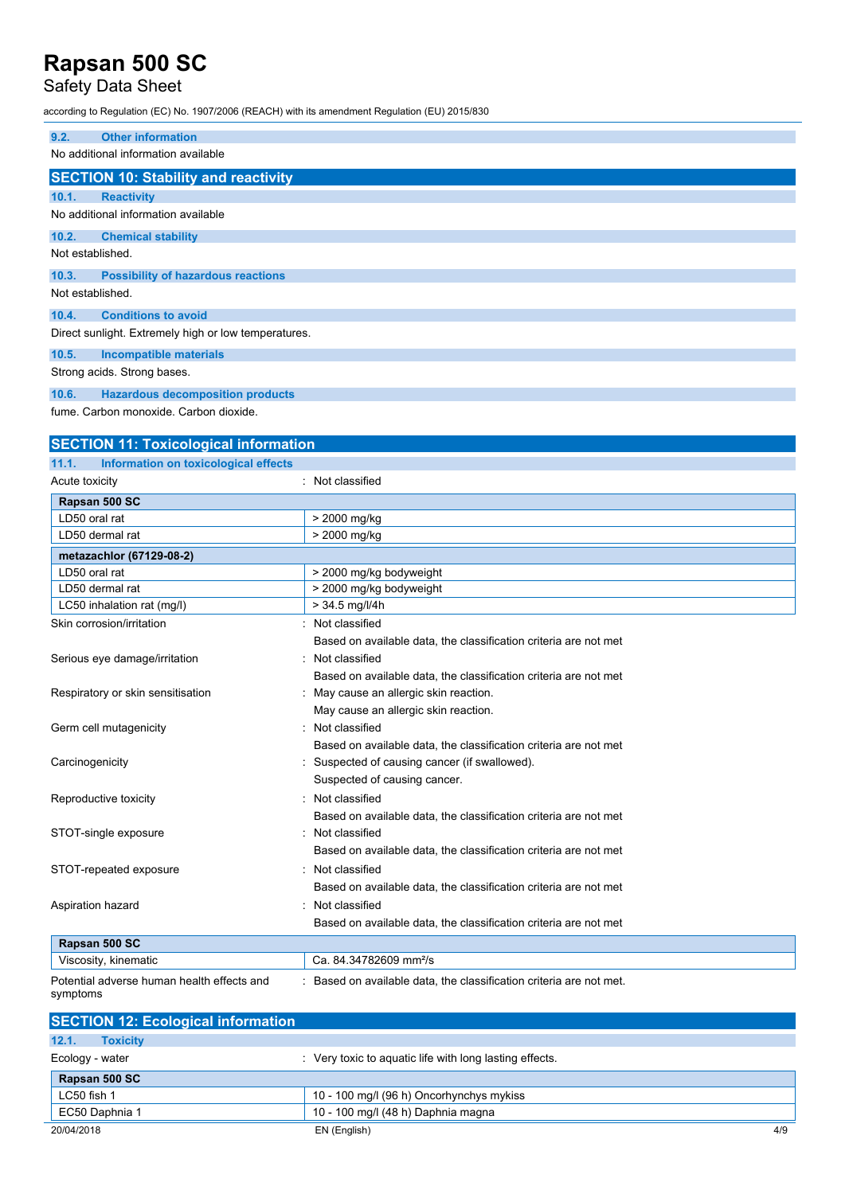## Safety Data Sheet

according to Regulation (EC) No. 1907/2006 (REACH) with its amendment Regulation (EU) 2015/830

| 9.2.             | <b>Other information</b>                                    |
|------------------|-------------------------------------------------------------|
|                  | No additional information available                         |
|                  |                                                             |
|                  | <b>SECTION 10: Stability and reactivity</b>                 |
| 10.1.            | <b>Reactivity</b>                                           |
|                  | No additional information available                         |
| 10.2.            | <b>Chemical stability</b>                                   |
| Not established. |                                                             |
| 10.3.            | <b>Possibility of hazardous reactions</b>                   |
| Not established. |                                                             |
| 10.4.            | <b>Conditions to avoid</b>                                  |
|                  | Direct sunlight. Extremely high or low temperatures.        |
| 10.5.            | <b>Incompatible materials</b>                               |
|                  | Strong acids. Strong bases.                                 |
| $\overline{AB}$  | il i americano della componentata di controlla controlla il |

**10.6. Hazardous decomposition products** fume. Carbon monoxide. Carbon dioxide.

## **SECTION 11: Toxicological information 11.1. Information on toxicological effects**

| Acute toxicity                             | Not classified                                                    |
|--------------------------------------------|-------------------------------------------------------------------|
| Rapsan 500 SC                              |                                                                   |
| LD50 oral rat                              | > 2000 mg/kg                                                      |
| LD50 dermal rat                            | > 2000 mg/kg                                                      |
| metazachlor (67129-08-2)                   |                                                                   |
| LD50 oral rat                              | > 2000 mg/kg bodyweight                                           |
| LD50 dermal rat                            | > 2000 mg/kg bodyweight                                           |
| LC50 inhalation rat (mg/l)                 | $> 34.5$ mg/l/4h                                                  |
| Skin corrosion/irritation                  | Not classified                                                    |
|                                            | Based on available data, the classification criteria are not met  |
| Serious eye damage/irritation              | Not classified                                                    |
|                                            | Based on available data, the classification criteria are not met  |
| Respiratory or skin sensitisation          | May cause an allergic skin reaction.                              |
|                                            | May cause an allergic skin reaction.                              |
| Germ cell mutagenicity                     | Not classified                                                    |
|                                            | Based on available data, the classification criteria are not met  |
| Carcinogenicity                            | Suspected of causing cancer (if swallowed).                       |
|                                            | Suspected of causing cancer.                                      |
| Reproductive toxicity                      | Not classified                                                    |
|                                            | Based on available data, the classification criteria are not met  |
| STOT-single exposure                       | Not classified                                                    |
|                                            | Based on available data, the classification criteria are not met  |
| STOT-repeated exposure                     | Not classified                                                    |
|                                            | Based on available data, the classification criteria are not met  |
| Aspiration hazard                          | Not classified                                                    |
|                                            | Based on available data, the classification criteria are not met  |
| Rapsan 500 SC                              |                                                                   |
| Viscosity, kinematic                       | Ca. 84.34782609 mm <sup>2</sup> /s                                |
| Potential adverse human health effects and | Based on available data, the classification criteria are not met. |

symptoms

| <b>SECTION 12: Ecological information</b> |                                                         |     |
|-------------------------------------------|---------------------------------------------------------|-----|
| 12.1.<br><b>Toxicity</b>                  |                                                         |     |
| Ecology - water                           | : Very toxic to aquatic life with long lasting effects. |     |
| Rapsan 500 SC                             |                                                         |     |
| LC50 fish 1                               | 10 - 100 mg/l (96 h) Oncorhynchys mykiss                |     |
| EC50 Daphnia 1                            | 10 - 100 mg/l (48 h) Daphnia magna                      |     |
| 20/04/2018                                | EN (English)                                            | 4/9 |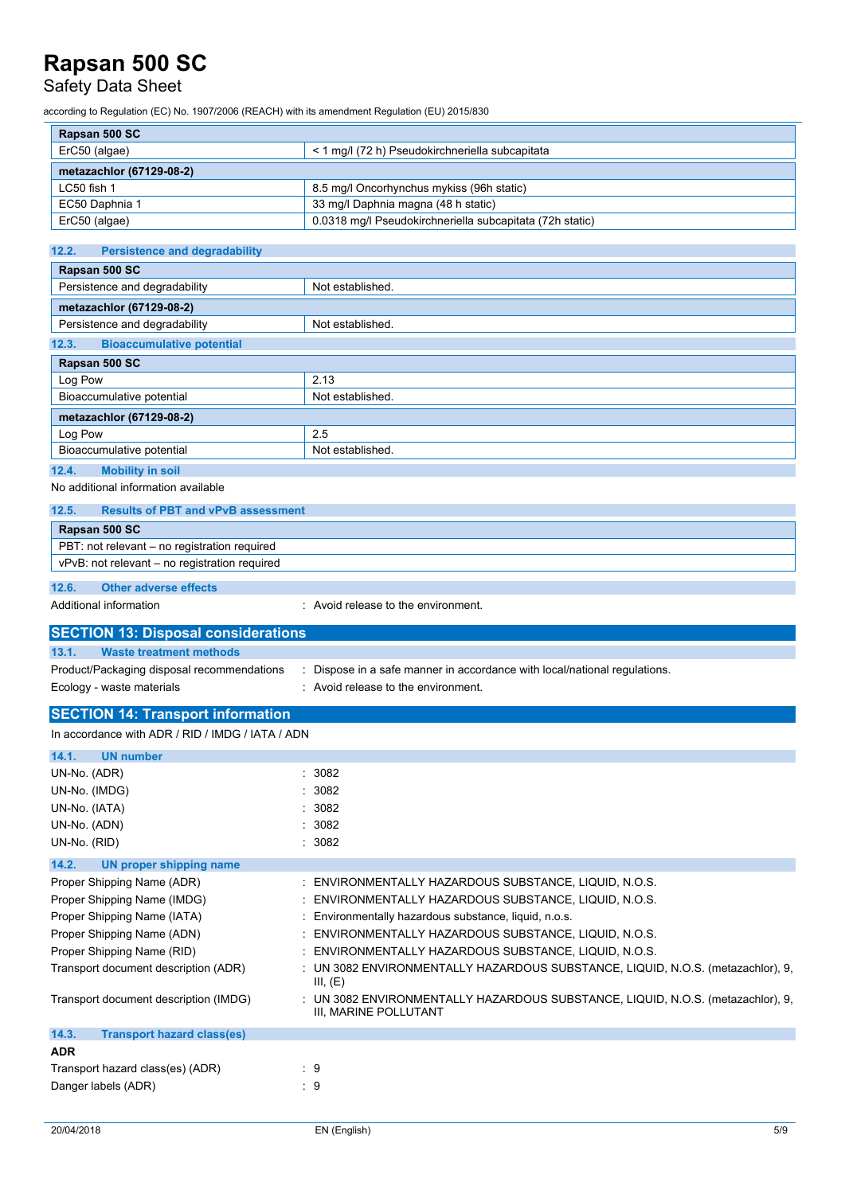Safety Data Sheet

according to Regulation (EC) No. 1907/2006 (REACH) with its amendment Regulation (EU) 2015/830

| Rapsan 500 SC            |                                                          |
|--------------------------|----------------------------------------------------------|
| ErC50 (algae)            | < 1 mg/l (72 h) Pseudokirchneriella subcapitata          |
| metazachlor (67129-08-2) |                                                          |
| $LC50$ fish 1            | 8.5 mg/l Oncorhynchus mykiss (96h static)                |
| EC50 Daphnia 1           | 33 mg/l Daphnia magna (48 h static)                      |
| ErC50 (algae)            | 0.0318 mg/l Pseudokirchneriella subcapitata (72h static) |

| 12.2.<br><b>Persistence and degradability</b> |                  |  |
|-----------------------------------------------|------------------|--|
| Rapsan 500 SC                                 |                  |  |
| Persistence and degradability                 | Not established. |  |
| metazachlor (67129-08-2)                      |                  |  |
| Persistence and degradability                 | Not established. |  |
| <b>Bioaccumulative potential</b><br>12.3.     |                  |  |
| Rapsan 500 SC                                 |                  |  |
| Log Pow                                       | 2.13             |  |
| Bioaccumulative potential                     | Not established. |  |
| metazachlor (67129-08-2)                      |                  |  |
| Log Pow                                       | 2.5              |  |
| Bioaccumulative potential                     | Not established. |  |
| 12.4.<br><b>Mobility in soil</b>              |                  |  |

No additional information available

#### **12.5. Results of PBT and vPvB assessment**

| <b>Rapsan 500 SC</b>                          |
|-----------------------------------------------|
| PBT: not relevant – no registration required  |
| vPvB: not relevant – no registration required |
|                                               |

**12.6. Other adverse effects**

Additional information **interest in the environment** of the environment.

| <b>SECTION 13: Disposal considerations</b> |                                                                           |
|--------------------------------------------|---------------------------------------------------------------------------|
| Waste treatment methods<br>13.1.           |                                                                           |
| Product/Packaging disposal recommendations | : Dispose in a safe manner in accordance with local/national requiations. |
| Ecology - waste materials                  | : Avoid release to the environment.                                       |

### **SECTION 14: Transport information**

|--|

| 14.1.<br><b>UN number</b>                  |                                                                                                          |
|--------------------------------------------|----------------------------------------------------------------------------------------------------------|
| UN-No. (ADR)                               | : 3082                                                                                                   |
| UN-No. (IMDG)                              | : 3082                                                                                                   |
| UN-No. (IATA)                              | : 3082                                                                                                   |
| UN-No. (ADN)                               | 3082                                                                                                     |
| UN-No. (RID)                               | : 3082                                                                                                   |
| 14.2.<br>UN proper shipping name           |                                                                                                          |
| Proper Shipping Name (ADR)                 | ENVIRONMENTALLY HAZARDOUS SUBSTANCE, LIQUID, N.O.S.                                                      |
| Proper Shipping Name (IMDG)                | ENVIRONMENTALLY HAZARDOUS SUBSTANCE, LIQUID, N.O.S.                                                      |
| Proper Shipping Name (IATA)                | Environmentally hazardous substance, liquid, n.o.s.                                                      |
| Proper Shipping Name (ADN)                 | ENVIRONMENTALLY HAZARDOUS SUBSTANCE, LIQUID, N.O.S.                                                      |
| Proper Shipping Name (RID)                 | ENVIRONMENTALLY HAZARDOUS SUBSTANCE, LIQUID, N.O.S.                                                      |
| Transport document description (ADR)       | UN 3082 ENVIRONMENTALLY HAZARDOUS SUBSTANCE, LIQUID, N.O.S. (metazachlor), 9,<br>III, (E)                |
| Transport document description (IMDG)      | : UN 3082 ENVIRONMENTALLY HAZARDOUS SUBSTANCE, LIQUID, N.O.S. (metazachlor), 9,<br>III, MARINE POLLUTANT |
| 14.3.<br><b>Transport hazard class(es)</b> |                                                                                                          |
| <b>ADR</b>                                 |                                                                                                          |
| Transport hazard class(es) (ADR)           | : 9                                                                                                      |
| Danger labels (ADR)                        | $\therefore$ 9                                                                                           |
|                                            |                                                                                                          |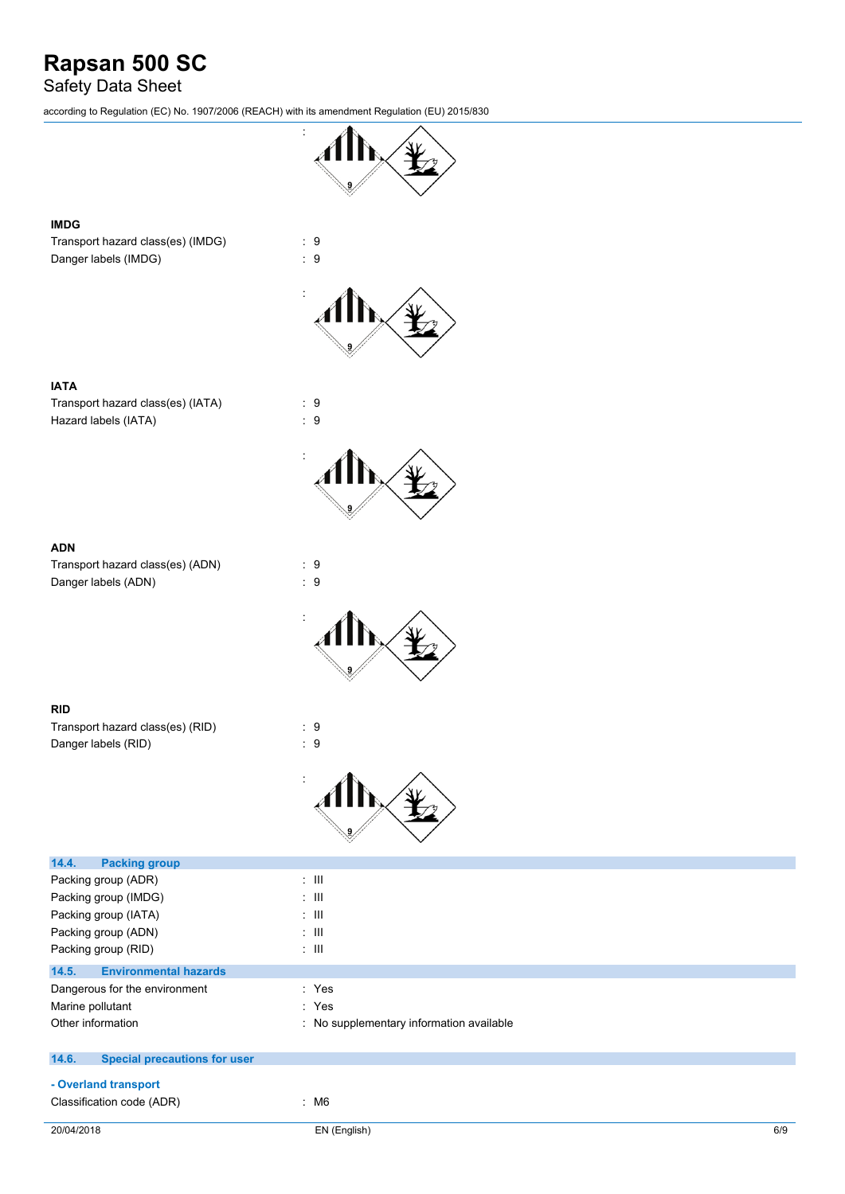## Safety Data Sheet

according to Regulation (EC) No. 1907/2006 (REACH) with its amendment Regulation (EU) 2015/830



### **IMDG**

**IATA**

Transport hazard class(es) (IMDG) : 9 Danger labels (IMDG) : 9





### **ADN**

Transport hazard class(es) (ADN) : 9 Danger labels (ADN) : 9



#### **RID**

| Transport hazard class(es) (RID) | : 9 |  |
|----------------------------------|-----|--|
| Danger labels (RID)              | : 9 |  |



| 14.4.<br><b>Packing group</b>                |                                          |
|----------------------------------------------|------------------------------------------|
| Packing group (ADR)                          | $\pm$ 111                                |
| Packing group (IMDG)                         | $\pm$ 111                                |
| Packing group (IATA)                         | $\pm$ 111                                |
| Packing group (ADN)                          | $\pm$ 111                                |
| Packing group (RID)                          | $\therefore$ III                         |
| <b>Environmental hazards</b><br>14.5.        |                                          |
| Dangerous for the environment                | : Yes                                    |
| Marine pollutant                             | : Yes                                    |
| Other information                            | : No supplementary information available |
| <b>Special precautions for user</b><br>14.6. |                                          |
|                                              |                                          |
| - Overland transport                         |                                          |
| Classification code (ADR)                    | : M6                                     |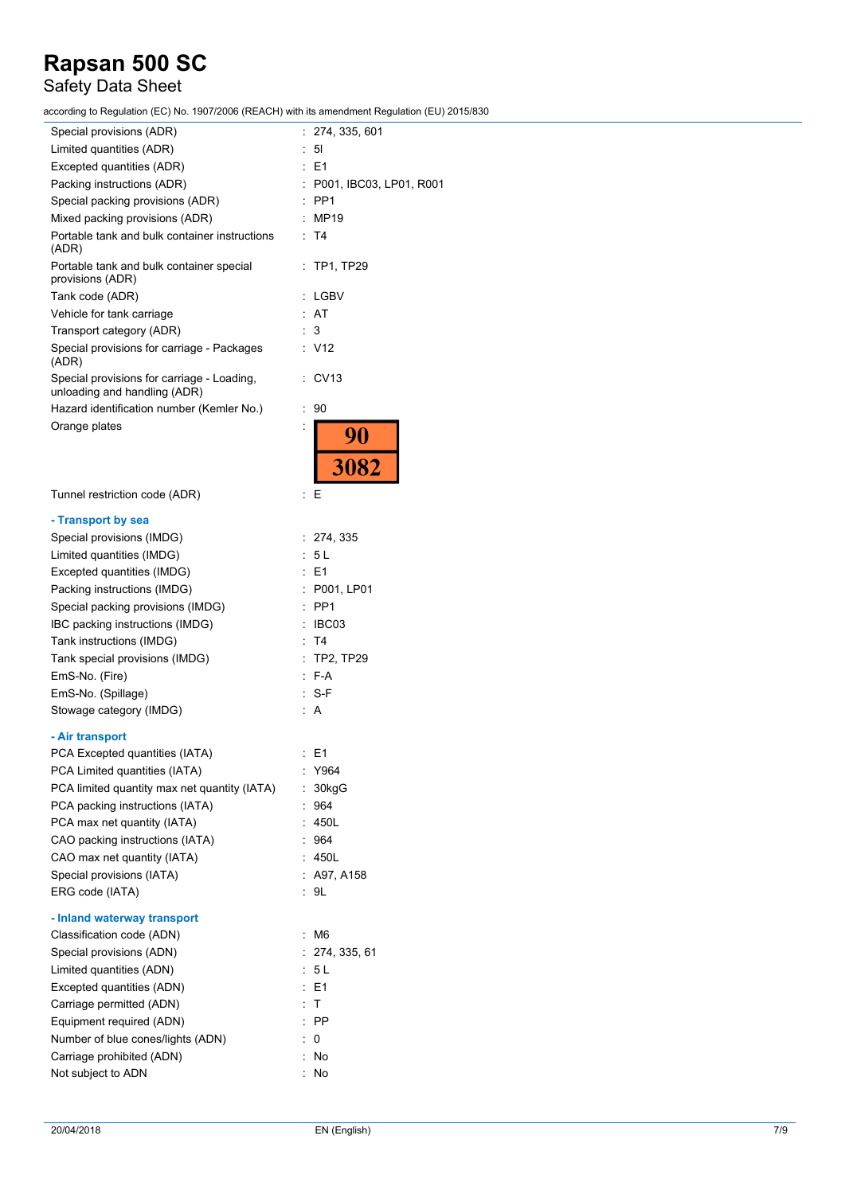## Safety Data Sheet

according to Regulation (EC) No. 1907/2006 (REACH) with its amendment Regulation (EU) 2015/830

| Special provisions (ADR)                                                   | 274, 335, 601           |
|----------------------------------------------------------------------------|-------------------------|
| Limited quantities (ADR)                                                   | 51                      |
| Excepted quantities (ADR)                                                  | E <sub>1</sub>          |
| Packing instructions (ADR)                                                 | P001, IBC03, LP01, R001 |
| Special packing provisions (ADR)                                           | PP <sub>1</sub>         |
| Mixed packing provisions (ADR)                                             | MP19                    |
| Portable tank and bulk container instructions<br>(ADR)                     | T4                      |
| Portable tank and bulk container special<br>provisions (ADR)               | <b>TP1, TP29</b>        |
| Tank code (ADR)                                                            | LGBV                    |
| Vehicle for tank carriage                                                  | AT                      |
| Transport category (ADR)                                                   | 3                       |
| Special provisions for carriage - Packages<br>(ADR)                        | : V12                   |
| Special provisions for carriage - Loading,<br>unloading and handling (ADR) | CV <sub>13</sub>        |
| Hazard identification number (Kemler No.)                                  | 90<br>İ                 |
| Orange plates                                                              | 90<br>3082              |
|                                                                            |                         |
| Tunnel restriction code (ADR)                                              | $\ddot{\cdot}$<br>Ε     |
| - Transport by sea                                                         |                         |
| Special provisions (IMDG)                                                  | 274, 335<br>÷           |
| Limited quantities (IMDG)                                                  | 5 L                     |
| Excepted quantities (IMDG)                                                 | E1                      |
| Packing instructions (IMDG)                                                | P001, LP01              |
| Special packing provisions (IMDG)                                          | PP <sub>1</sub>         |
| IBC packing instructions (IMDG)                                            | IBC03                   |
| Tank instructions (IMDG)                                                   | T4                      |
| Tank special provisions (IMDG)                                             | <b>TP2, TP29</b>        |
| EmS-No. (Fire)                                                             | F-A                     |
| EmS-No. (Spillage)                                                         | $S-F$                   |
| Stowage category (IMDG)                                                    | Α                       |
| - Air transport                                                            |                         |
| PCA Excepted quantities (IATA)                                             | : E1                    |
| PCA Limited quantities (IATA)                                              | Y964                    |
| PCA limited quantity max net quantity (IATA)                               | $\ddot{\cdot}$<br>30kgG |
| PCA packing instructions (IATA)                                            | 964                     |
| PCA max net quantity (IATA)                                                | 450L                    |
| CAO packing instructions (IATA)                                            | 964                     |
| CAO max net quantity (IATA)                                                | 450L                    |
| Special provisions (IATA)                                                  | A97, A158               |
| ERG code (IATA)                                                            | 9L                      |
| - Inland waterway transport                                                |                         |
| Classification code (ADN)                                                  | M <sub>6</sub><br>İ     |
| Special provisions (ADN)                                                   | 274, 335, 61            |
| Limited quantities (ADN)                                                   | 5 L                     |
| Excepted quantities (ADN)                                                  | E1                      |
| Carriage permitted (ADN)                                                   | Τ                       |
| Equipment required (ADN)                                                   | <b>PP</b>               |
| Number of blue cones/lights (ADN)                                          | 0                       |
| Carriage prohibited (ADN)                                                  | t<br>No                 |
| Not subject to ADN                                                         | No                      |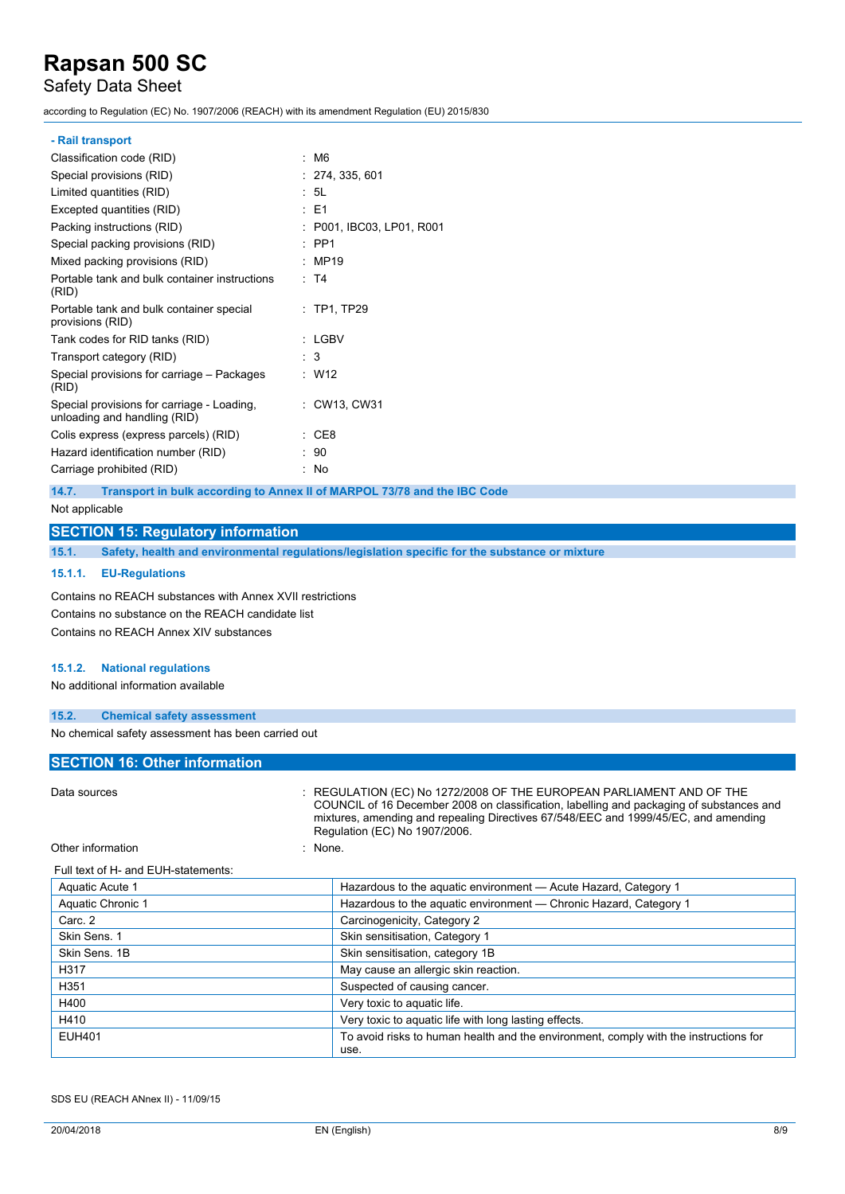### Safety Data Sheet

according to Regulation (EC) No. 1907/2006 (REACH) with its amendment Regulation (EU) 2015/830

#### **- Rail transport**

| Classification code (RID)                                                  | : M6                      |
|----------------------------------------------------------------------------|---------------------------|
| Special provisions (RID)                                                   | : 274, 335, 601           |
| Limited quantities (RID)                                                   | : 5L                      |
| Excepted quantities (RID)                                                  | $\pm$ E1                  |
| Packing instructions (RID)                                                 | : P001, IBC03, LP01, R001 |
| Special packing provisions (RID)                                           | $\therefore$ PP1          |
| Mixed packing provisions (RID)                                             | : MP19                    |
| Portable tank and bulk container instructions<br>(RID)                     | : T4                      |
| Portable tank and bulk container special<br>provisions (RID)               | $:$ TP1, TP29             |
| Tank codes for RID tanks (RID)                                             | : LGBV                    |
| Transport category (RID)                                                   | : 3                       |
| Special provisions for carriage - Packages<br>(RID)                        | : W12                     |
| Special provisions for carriage - Loading,<br>unloading and handling (RID) | : CW13, CW31              |
| Colis express (express parcels) (RID)                                      | CE8                       |
| Hazard identification number (RID)                                         | 90                        |
| Carriage prohibited (RID)                                                  | No                        |

**14.7. Transport in bulk according to Annex II of MARPOL 73/78 and the IBC Code**

Not applicable

### **SECTION 15: Regulatory information**

**15.1. Safety, health and environmental regulations/legislation specific for the substance or mixture**

#### **15.1.1. EU-Regulations**

Contains no REACH substances with Annex XVII restrictions Contains no substance on the REACH candidate list Contains no REACH Annex XIV substances

#### **15.1.2. National regulations**

No additional information available

#### **15.2. Chemical safety assessment**

No chemical safety assessment has been carried out

### **SECTION 16: Other information**

| Data sources                        | : REGULATION (EC) No 1272/2008 OF THE EUROPEAN PARLIAMENT AND OF THE<br>COUNCIL of 16 December 2008 on classification, labelling and packaging of substances and<br>mixtures, amending and repealing Directives 67/548/EEC and 1999/45/EC, and amending<br>Regulation (EC) No 1907/2006. |
|-------------------------------------|------------------------------------------------------------------------------------------------------------------------------------------------------------------------------------------------------------------------------------------------------------------------------------------|
| Other information                   | : None.                                                                                                                                                                                                                                                                                  |
| Full text of H- and EUH-statements: |                                                                                                                                                                                                                                                                                          |
| Aquatic Acute 1                     | Hazardous to the aquatic environment - Acute Hazard, Category 1                                                                                                                                                                                                                          |
| Aquatic Chronic 1                   | Hazardous to the aquatic environment — Chronic Hazard, Category 1                                                                                                                                                                                                                        |
| Carc. 2                             | Carcinogenicity, Category 2                                                                                                                                                                                                                                                              |
| Skin Sens. 1                        | Skin sensitisation, Category 1                                                                                                                                                                                                                                                           |
| Skin Sens, 1B                       | Skin sensitisation, category 1B                                                                                                                                                                                                                                                          |
| H317                                | May cause an allergic skin reaction.                                                                                                                                                                                                                                                     |
| H351                                | Suspected of causing cancer.                                                                                                                                                                                                                                                             |
| H400                                | Very toxic to aquatic life.                                                                                                                                                                                                                                                              |
| H410                                | Very toxic to aquatic life with long lasting effects.                                                                                                                                                                                                                                    |
| <b>EUH401</b>                       | To avoid risks to human health and the environment, comply with the instructions for<br>use.                                                                                                                                                                                             |

SDS EU (REACH ANnex II) - 11/09/15